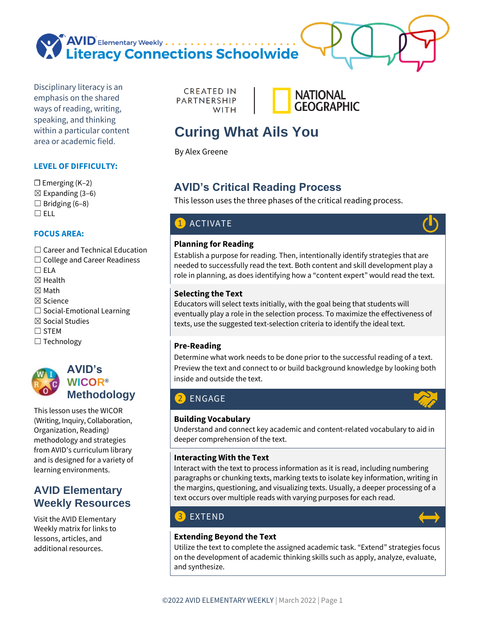

Disciplinary literacy is an emphasis on the shared ways of reading, writing, speaking, and thinking within a particular content area or academic field.

#### **LEVEL OF DIFFICULTY:**

 $\Box$  Emerging (K–2)  $\boxtimes$  Expanding (3-6)  $\Box$  Bridging (6–8)  $\Box$  ELL

#### **FOCUS AREA:**

- ☐ Career and Technical Education
- ☐ College and Career Readiness
- ☐ ELA
- ☒ Health
- ☒ Math
- ☒ Science
- ☐ Social-Emotional Learning
- ☒ Social Studies
- ☐ STEM
- ☐ Technology



This lesson uses the WICOR (Writing, Inquiry, Collaboration, Organization, Reading) methodology and strategies from AVID's curriculum library and is designed for a variety of learning environments.

# **AVID Elementary Weekly Resources**

Visit the AVID Elementary Weekly matrix for links to lessons, articles, and additional resources.

**CREATED IN** PARTNERSHIP WITH



# **Curing What Ails You**

By Alex Greene

# **AVID's Critical Reading Process**

This lesson uses the three phases of the critical reading process.

# 1 ACTIVATE

### **Planning for Reading**

Establish a purpose for reading. Then, intentionally identify strategies that are needed to successfully read the text. Both content and skill development play a role in planning, as does identifying how a "content expert" would read the text.

### **Selecting the Text**

Educators will select texts initially, with the goal being that students will eventually play a role in the selection process. To maximize the effectiveness of texts, use the suggested text-selection criteria to identify the ideal text.

### **Pre-Reading**

Determine what work needs to be done prior to the successful reading of a text. Preview the text and connect to or build background knowledge by looking both inside and outside the text.

# 2 ENGAGE

#### **Building Vocabulary**

Understand and connect key academic and content-related vocabulary to aid in deeper comprehension of the text.

#### **Interacting With the Text**

Interact with the text to process information as it is read, including numbering paragraphs or chunking texts, marking texts to isolate key information, writing in the margins, questioning, and visualizing texts. Usually, a deeper processing of a text occurs over multiple reads with varying purposes for each read.

# ❸ EXTEND

### **Extending Beyond the Text**

Utilize the text to complete the assigned academic task. "Extend" strategies focus on the development of academic thinking skills such as apply, analyze, evaluate, and synthesize.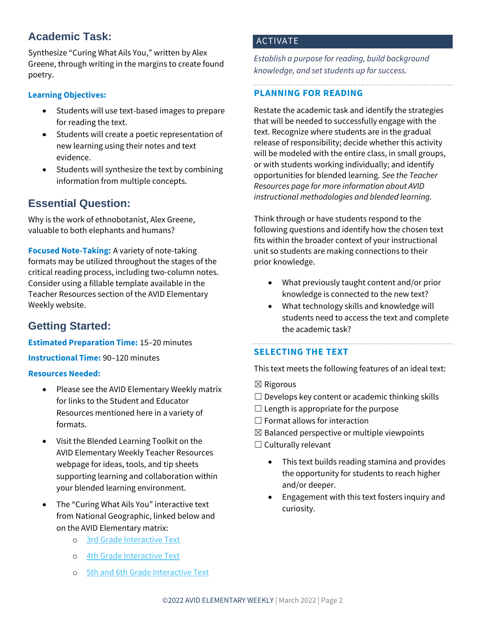# **Academic Task:**

Synthesize "Curing What Ails You," written by Alex Greene, through writing in the margins to create found poetry.

#### **Learning Objectives:**

- Students will use text-based images to prepare for reading the text.
- Students will create a poetic representation of new learning using their notes and text evidence.
- Students will synthesize the text by combining information from multiple concepts.

# **Essential Question:**

Why is the work of ethnobotanist, Alex Greene, valuable to both elephants and humans?

**Focused Note-Taking:** A variety of note-taking formats may be utilized throughout the stages of the critical reading process, including two-column notes. Consider using a fillable template available in the Teacher Resources section of the AVID Elementary Weekly website.

# **Getting Started:**

**Estimated Preparation Time:** 15–20 minutes

**Instructional Time:** 90–120 minutes

#### **Resources Needed:**

- Please see the AVID Elementary Weekly matrix for links to the Student and Educator Resources mentioned here in a variety of formats.
- Visit the Blended Learning Toolkit on the AVID Elementary Weekly Teacher Resources webpage for ideas, tools, and tip sheets supporting learning and collaboration within your blended learning environment.
- The "Curing What Ails You" interactive text from National Geographic, linked below and on the AVID Elementary matrix:
	- o [3rd Grade Interactive Text](https://explorer-mag.nationalgeographic.org/trailblazer_april_2021/curing_what_ails_you)
	- o [4th Grade Interactive Text](https://explorer-mag.nationalgeographic.org/pathfinder_april_2021/curing_what_ails_you)
	- o [5th and 6th Grade Interactive Text](https://explorer-mag.nationalgeographic.org/adventurer_april_2021/curing_what_ails_you)

### ACTIVATE

*Establish a purpose for reading, build background knowledge, and set students up for success.* 

#### **PLANNING FOR READING**

Restate the academic task and identify the strategies that will be needed to successfully engage with the text. Recognize where students are in the gradual release of responsibility; decide whether this activity will be modeled with the entire class, in small groups, or with students working individually; and identify opportunities for blended learning. *See the Teacher Resources page for more information about AVID instructional methodologies and blended learning.*

Think through or have students respond to the following questions and identify how the chosen text fits within the broader context of your instructional unit so students are making connections to their prior knowledge.

- What previously taught content and/or prior knowledge is connected to the new text?
- What technology skills and knowledge will students need to access the text and complete the academic task?

### **SELECTING THE TEXT**

This text meets the following features of an ideal text:

- $\boxtimes$  Rigorous
- $\Box$  Develops key content or academic thinking skills
- $\Box$  Length is appropriate for the purpose
- $\Box$  Format allows for interaction
- $\boxtimes$  Balanced perspective or multiple viewpoints
- $\Box$  Culturally relevant
	- This text builds reading stamina and provides the opportunity for students to reach higher and/or deeper.
	- Engagement with this text fosters inquiry and curiosity.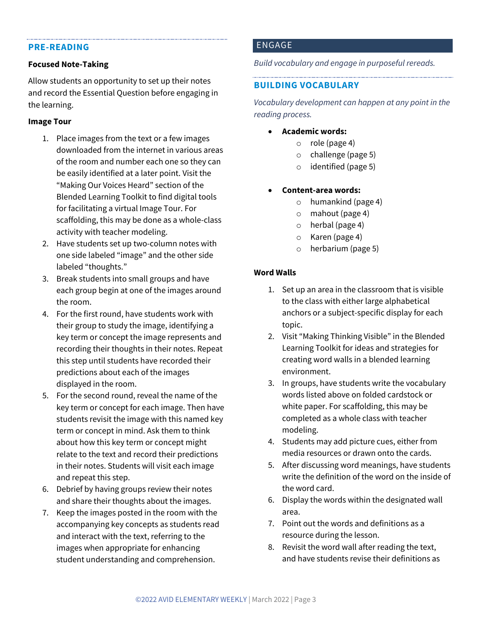#### **PRE-READING**

#### **Focused Note-Taking**

Allow students an opportunity to set up their notes and record the Essential Question before engaging in the learning.

#### **Image Tour**

- 1. Place images from the text or a few images downloaded from the internet in various areas of the room and number each one so they can be easily identified at a later point. Visit the "Making Our Voices Heard" section of the Blended Learning Toolkit to find digital tools for facilitating a virtual Image Tour. For scaffolding, this may be done as a whole-class activity with teacher modeling.
- 2. Have students set up two-column notes with one side labeled "image" and the other side labeled "thoughts."
- 3. Break students into small groups and have each group begin at one of the images around the room.
- 4. For the first round, have students work with their group to study the image, identifying a key term or concept the image represents and recording their thoughts in their notes. Repeat this step until students have recorded their predictions about each of the images displayed in the room.
- 5. For the second round, reveal the name of the key term or concept for each image. Then have students revisit the image with this named key term or concept in mind. Ask them to think about how this key term or concept might relate to the text and record their predictions in their notes. Students will visit each image and repeat this step.
- 6. Debrief by having groups review their notes and share their thoughts about the images.
- 7. Keep the images posted in the room with the accompanying key concepts as students read and interact with the text, referring to the images when appropriate for enhancing student understanding and comprehension.

### ENGAGE

*Build vocabulary and engage in purposeful rereads.* 

#### **BUILDING VOCABULARY**

*Vocabulary development can happen at any point in the reading process.* 

#### • **Academic words:**

- o role (page 4)
- o challenge (page 5)
- o identified (page 5)
- **Content-area words:**
	- o humankind (page 4)
	- o mahout (page 4)
	- o herbal (page 4)
	- o Karen (page 4)
	- o herbarium (page 5)

#### **Word Walls**

- 1. Set up an area in the classroom that is visible to the class with either large alphabetical anchors or a subject-specific display for each topic.
- 2. Visit "Making Thinking Visible" in the Blended Learning Toolkit for ideas and strategies for creating word walls in a blended learning environment.
- 3. In groups, have students write the vocabulary words listed above on folded cardstock or white paper. For scaffolding, this may be completed as a whole class with teacher modeling.
- 4. Students may add picture cues, either from media resources or drawn onto the cards.
- 5. After discussing word meanings, have students write the definition of the word on the inside of the word card.
- 6. Display the words within the designated wall area.
- 7. Point out the words and definitions as a resource during the lesson.
- 8. Revisit the word wall after reading the text, and have students revise their definitions as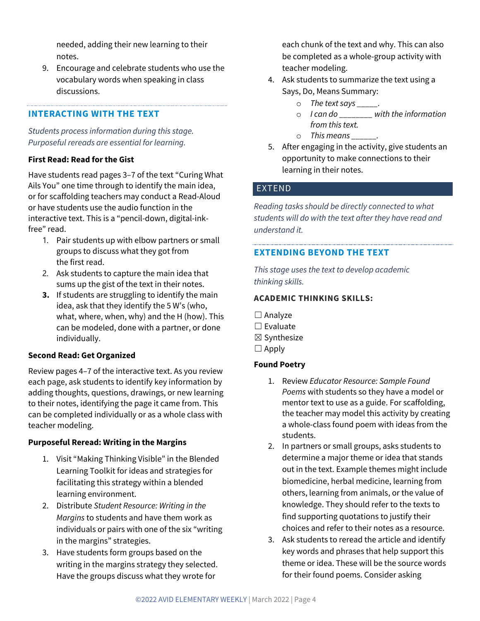needed, adding their new learning to their notes.

9. Encourage and celebrate students who use the vocabulary words when speaking in class discussions.

### **INTERACTING WITH THE TEXT**

*Students process information during this stage. Purposeful rereads are essential for learning.*

#### **First Read: Read for the Gist**

Have students read pages 3–7 of the text "Curing What Ails You" one time through to identify the main idea, or for scaffolding teachers may conduct a Read-Aloud or have students use the audio function in the interactive text. This is a "pencil-down, digital-inkfree" read.

- 1. Pair students up with elbow partners or small groups to discuss what they got from the first read.
- 2. Ask students to capture the main idea that sums up the gist of the text in their notes.
- **3.** If students are struggling to identify the main idea, ask that they identify the 5 W's (who, what, where, when, why) and the H (how). This can be modeled, done with a partner, or done individually.

#### **Second Read: Get Organized**

Review pages 4–7 of the interactive text. As you review each page, ask students to identify key information by adding thoughts, questions, drawings, or new learning to their notes, identifying the page it came from. This can be completed individually or as a whole class with teacher modeling.

#### **Purposeful Reread: Writing in the Margins**

- 1. Visit "Making Thinking Visible" in the Blended Learning Toolkit for ideas and strategies for facilitating this strategy within a blended learning environment.
- 2. Distribute *Student Resource: Writing in the Margins* to students and have them work as individuals or pairs with one of the six "writing in the margins" strategies.
- 3. Have students form groups based on the writing in the margins strategy they selected. Have the groups discuss what they wrote for

each chunk of the text and why. This can also be completed as a whole-group activity with teacher modeling.

- 4. Ask students to summarize the text using a Says, Do, Means Summary:
	- o *The text says \_\_\_\_\_.*
	- o *I can do \_\_\_\_\_\_\_\_ with the information from this text.*
	- o *This means \_\_\_\_\_\_.*
- 5. After engaging in the activity, give students an opportunity to make connections to their learning in their notes.

### EXTEND

*Reading tasks should be directly connected to what students will do with the text after they have read and understand it.*

### **EXTENDING BEYOND THE TEXT**

*This stage uses the text to develop academic thinking skills.*

#### **ACADEMIC THINKING SKILLS:**

- $\Box$  Analyze
- $\square$  Evaluate
- ☒ Synthesize
- $\Box$  Apply

#### **Found Poetry**

- 1. Review *Educator Resource: Sample Found Poems* with students so they have a model or mentor text to use as a guide. For scaffolding, the teacher may model this activity by creating a whole-class found poem with ideas from the students.
- 2. In partners or small groups, asks students to determine a major theme or idea that stands out in the text. Example themes might include biomedicine, herbal medicine, learning from others, learning from animals, or the value of knowledge. They should refer to the texts to find supporting quotations to justify their choices and refer to their notes as a resource.
- 3. Ask students to reread the article and identify key words and phrases that help support this theme or idea. These will be the source words for their found poems. Consider asking